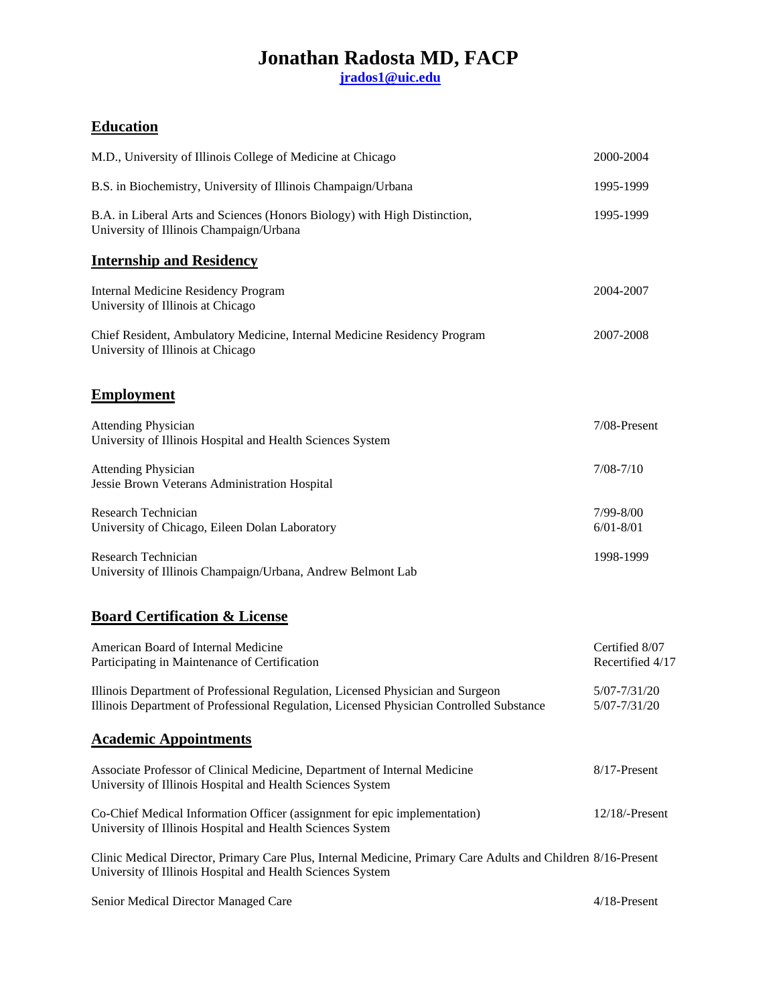**[jrados1@uic.edu](mailto:jrados1@uic.edu)**

### **Education**

| M.D., University of Illinois College of Medicine at Chicago                                                                                                                | 2000-2004                          |
|----------------------------------------------------------------------------------------------------------------------------------------------------------------------------|------------------------------------|
| B.S. in Biochemistry, University of Illinois Champaign/Urbana                                                                                                              | 1995-1999                          |
| B.A. in Liberal Arts and Sciences (Honors Biology) with High Distinction,<br>University of Illinois Champaign/Urbana                                                       | 1995-1999                          |
| <b>Internship and Residency</b>                                                                                                                                            |                                    |
| <b>Internal Medicine Residency Program</b><br>University of Illinois at Chicago                                                                                            | 2004-2007                          |
| Chief Resident, Ambulatory Medicine, Internal Medicine Residency Program<br>University of Illinois at Chicago                                                              | 2007-2008                          |
| <b>Employment</b>                                                                                                                                                          |                                    |
| <b>Attending Physician</b><br>University of Illinois Hospital and Health Sciences System                                                                                   | 7/08-Present                       |
| <b>Attending Physician</b><br>Jessie Brown Veterans Administration Hospital                                                                                                | $7/08 - 7/10$                      |
| Research Technician<br>University of Chicago, Eileen Dolan Laboratory                                                                                                      | 7/99-8/00<br>$6/01 - 8/01$         |
| Research Technician<br>University of Illinois Champaign/Urbana, Andrew Belmont Lab                                                                                         | 1998-1999                          |
| <b>Board Certification &amp; License</b>                                                                                                                                   |                                    |
| American Board of Internal Medicine<br>Participating in Maintenance of Certification                                                                                       | Certified 8/07<br>Recertified 4/17 |
| Illinois Department of Professional Regulation, Licensed Physician and Surgeon<br>Illinois Department of Professional Regulation, Licensed Physician Controlled Substance  | 5/07-7/31/20<br>5/07-7/31/20       |
| <b>Academic Appointments</b>                                                                                                                                               |                                    |
| Associate Professor of Clinical Medicine, Department of Internal Medicine<br>University of Illinois Hospital and Health Sciences System                                    | 8/17-Present                       |
| Co-Chief Medical Information Officer (assignment for epic implementation)<br>University of Illinois Hospital and Health Sciences System                                    | $12/18$ /-Present                  |
| Clinic Medical Director, Primary Care Plus, Internal Medicine, Primary Care Adults and Children 8/16-Present<br>University of Illinois Hospital and Health Sciences System |                                    |
| Senior Medical Director Managed Care                                                                                                                                       | 4/18-Present                       |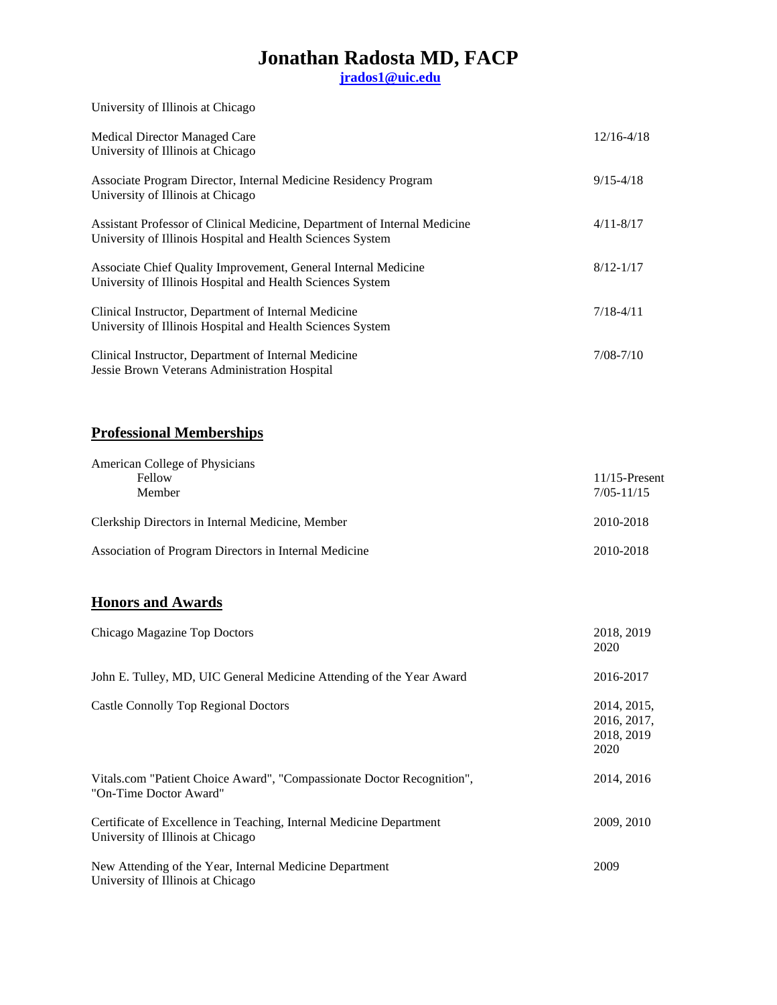**[jrados1@uic.edu](mailto:jrados1@uic.edu)**

University of Illinois at Chicago

| Medical Director Managed Care<br>University of Illinois at Chicago                                                                      | $12/16 - 4/18$ |
|-----------------------------------------------------------------------------------------------------------------------------------------|----------------|
| Associate Program Director, Internal Medicine Residency Program<br>University of Illinois at Chicago                                    | $9/15 - 4/18$  |
| Assistant Professor of Clinical Medicine, Department of Internal Medicine<br>University of Illinois Hospital and Health Sciences System | $4/11 - 8/17$  |
| Associate Chief Quality Improvement, General Internal Medicine<br>University of Illinois Hospital and Health Sciences System            | $8/12 - 1/17$  |
| Clinical Instructor, Department of Internal Medicine<br>University of Illinois Hospital and Health Sciences System                      | $7/18 - 4/11$  |
| Clinical Instructor, Department of Internal Medicine<br>Jessie Brown Veterans Administration Hospital                                   | $7/08 - 7/10$  |

### **Professional Memberships**

| American College of Physicians                        |                  |
|-------------------------------------------------------|------------------|
| Fellow                                                | $11/15$ -Present |
| Member                                                | $7/05 - 11/15$   |
| Clerkship Directors in Internal Medicine, Member      | 2010-2018        |
| Association of Program Directors in Internal Medicine | 2010-2018        |

### **Honors and Awards**

| Chicago Magazine Top Doctors                                                                             | 2018, 2019<br>2020                               |
|----------------------------------------------------------------------------------------------------------|--------------------------------------------------|
| John E. Tulley, MD, UIC General Medicine Attending of the Year Award                                     | 2016-2017                                        |
| Castle Connolly Top Regional Doctors                                                                     | 2014, 2015,<br>2016, 2017,<br>2018, 2019<br>2020 |
| Vitals.com "Patient Choice Award", "Compassionate Doctor Recognition",<br>"On-Time Doctor Award"         | 2014, 2016                                       |
| Certificate of Excellence in Teaching, Internal Medicine Department<br>University of Illinois at Chicago | 2009, 2010                                       |
| New Attending of the Year, Internal Medicine Department<br>University of Illinois at Chicago             | 2009                                             |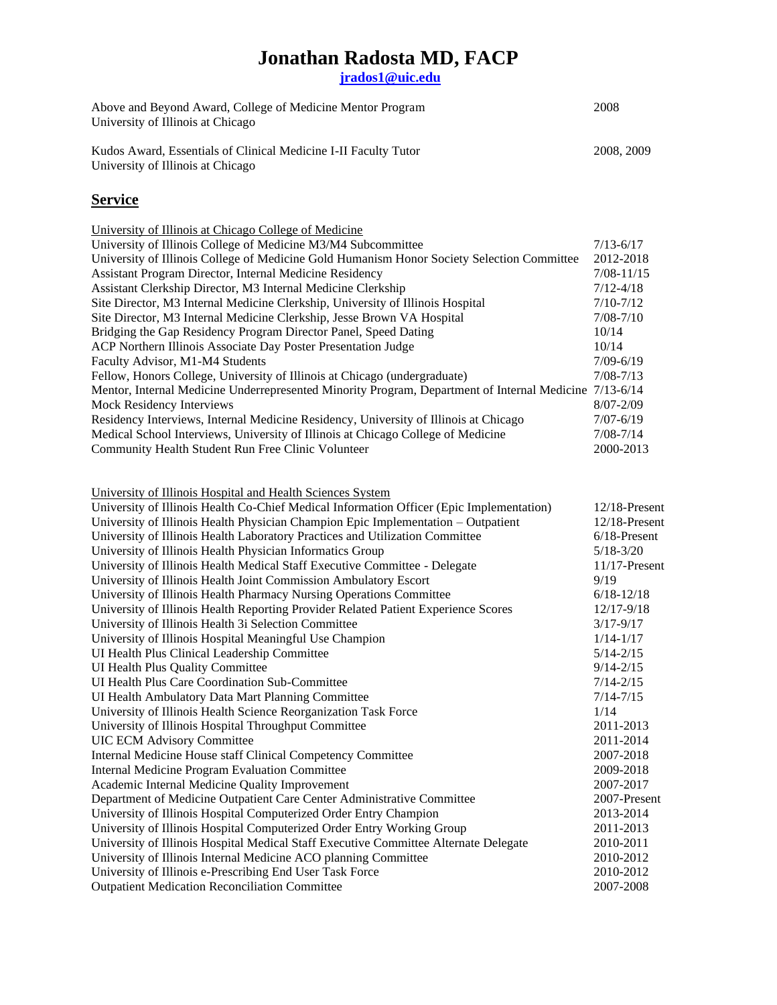**[jrados1@uic.edu](mailto:jrados1@uic.edu)**

| Above and Beyond Award, College of Medicine Mentor Program<br>University of Illinois at Chicago | 2008      |
|-------------------------------------------------------------------------------------------------|-----------|
| Kudos Award, Essentials of Clinical Medicine I-II Faculty Tutor                                 | 2008.2009 |

University of Illinois at Chicago

### **Service**

| University of Illinois at Chicago College of Medicine                                                  |                |
|--------------------------------------------------------------------------------------------------------|----------------|
| University of Illinois College of Medicine M3/M4 Subcommittee                                          | $7/13 - 6/17$  |
| University of Illinois College of Medicine Gold Humanism Honor Society Selection Committee             | 2012-2018      |
| Assistant Program Director, Internal Medicine Residency                                                | $7/08 - 11/15$ |
| Assistant Clerkship Director, M3 Internal Medicine Clerkship                                           | $7/12 - 4/18$  |
| Site Director, M3 Internal Medicine Clerkship, University of Illinois Hospital                         | $7/10 - 7/12$  |
| Site Director, M3 Internal Medicine Clerkship, Jesse Brown VA Hospital                                 | $7/08 - 7/10$  |
| Bridging the Gap Residency Program Director Panel, Speed Dating                                        | 10/14          |
| ACP Northern Illinois Associate Day Poster Presentation Judge                                          | 10/14          |
| Faculty Advisor, M1-M4 Students                                                                        | $7/09 - 6/19$  |
| Fellow, Honors College, University of Illinois at Chicago (undergraduate)                              | $7/08 - 7/13$  |
| Mentor, Internal Medicine Underrepresented Minority Program, Department of Internal Medicine 7/13-6/14 |                |
| <b>Mock Residency Interviews</b>                                                                       | $8/07 - 2/09$  |
| Residency Interviews, Internal Medicine Residency, University of Illinois at Chicago                   | $7/07 - 6/19$  |
| Medical School Interviews, University of Illinois at Chicago College of Medicine                       | $7/08 - 7/14$  |
| Community Health Student Run Free Clinic Volunteer                                                     | 2000-2013      |

University of Illinois Hospital and Health Sciences System

| University of Illinois Health Co-Chief Medical Information Officer (Epic Implementation) | $12/18$ -Present |
|------------------------------------------------------------------------------------------|------------------|
| University of Illinois Health Physician Champion Epic Implementation - Outpatient        | $12/18$ -Present |
| University of Illinois Health Laboratory Practices and Utilization Committee             | $6/18$ -Present  |
| University of Illinois Health Physician Informatics Group                                | $5/18 - 3/20$    |
| University of Illinois Health Medical Staff Executive Committee - Delegate               | $11/17$ -Present |
| University of Illinois Health Joint Commission Ambulatory Escort                         | 9/19             |
| University of Illinois Health Pharmacy Nursing Operations Committee                      | $6/18 - 12/18$   |
| University of Illinois Health Reporting Provider Related Patient Experience Scores       | $12/17 - 9/18$   |
| University of Illinois Health 3i Selection Committee                                     | $3/17 - 9/17$    |
| University of Illinois Hospital Meaningful Use Champion                                  | $1/14 - 1/17$    |
| UI Health Plus Clinical Leadership Committee                                             | $5/14 - 2/15$    |
| UI Health Plus Quality Committee                                                         | $9/14 - 2/15$    |
| <b>UI Health Plus Care Coordination Sub-Committee</b>                                    | $7/14 - 2/15$    |
| UI Health Ambulatory Data Mart Planning Committee                                        | $7/14 - 7/15$    |
| University of Illinois Health Science Reorganization Task Force                          | 1/14             |
| University of Illinois Hospital Throughput Committee                                     | 2011-2013        |
| <b>UIC ECM Advisory Committee</b>                                                        | 2011-2014        |
| Internal Medicine House staff Clinical Competency Committee                              | 2007-2018        |
| <b>Internal Medicine Program Evaluation Committee</b>                                    | 2009-2018        |
| Academic Internal Medicine Quality Improvement                                           | 2007-2017        |
| Department of Medicine Outpatient Care Center Administrative Committee                   | 2007-Present     |
| University of Illinois Hospital Computerized Order Entry Champion                        | 2013-2014        |
| University of Illinois Hospital Computerized Order Entry Working Group                   | 2011-2013        |
| University of Illinois Hospital Medical Staff Executive Committee Alternate Delegate     | 2010-2011        |
| University of Illinois Internal Medicine ACO planning Committee                          | 2010-2012        |
| University of Illinois e-Prescribing End User Task Force                                 | 2010-2012        |
| <b>Outpatient Medication Reconciliation Committee</b>                                    | 2007-2008        |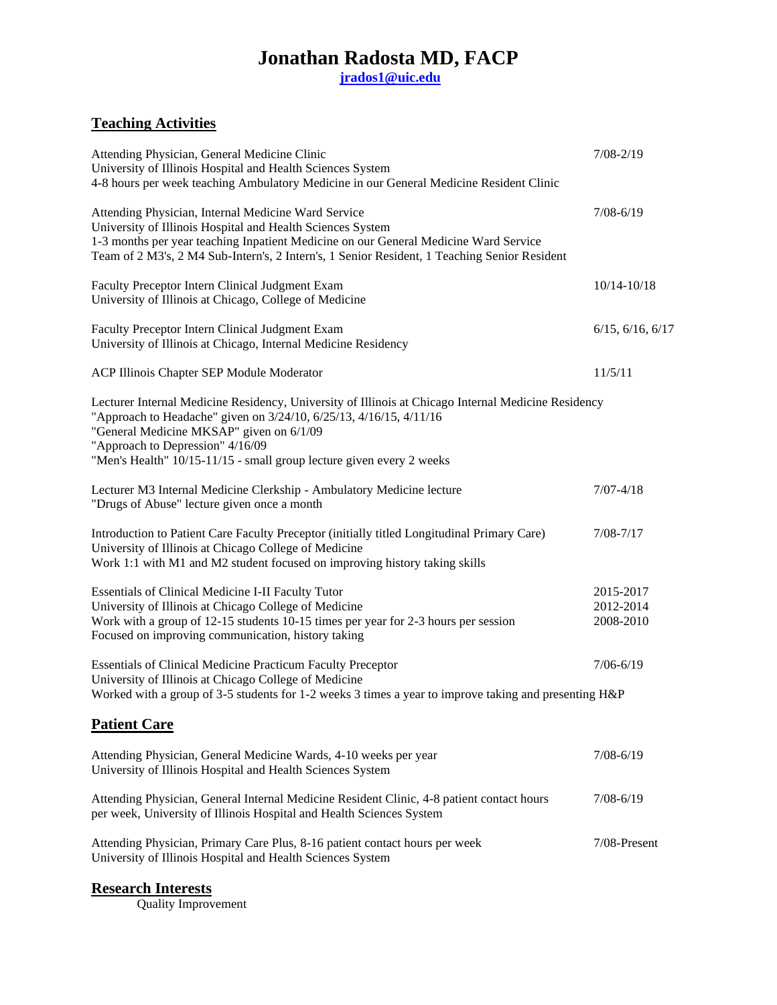**[jrados1@uic.edu](mailto:jrados1@uic.edu)**

## **Teaching Activities**

| Attending Physician, General Medicine Clinic<br>University of Illinois Hospital and Health Sciences System<br>4-8 hours per week teaching Ambulatory Medicine in our General Medicine Resident Clinic                                                                                                                             | $7/08 - 2/19$                       |
|-----------------------------------------------------------------------------------------------------------------------------------------------------------------------------------------------------------------------------------------------------------------------------------------------------------------------------------|-------------------------------------|
| Attending Physician, Internal Medicine Ward Service<br>University of Illinois Hospital and Health Sciences System<br>1-3 months per year teaching Inpatient Medicine on our General Medicine Ward Service<br>Team of 2 M3's, 2 M4 Sub-Intern's, 2 Intern's, 1 Senior Resident, 1 Teaching Senior Resident                         | $7/08 - 6/19$                       |
| Faculty Preceptor Intern Clinical Judgment Exam<br>University of Illinois at Chicago, College of Medicine                                                                                                                                                                                                                         | $10/14 - 10/18$                     |
| Faculty Preceptor Intern Clinical Judgment Exam<br>University of Illinois at Chicago, Internal Medicine Residency                                                                                                                                                                                                                 | 6/15, 6/16, 6/17                    |
| ACP Illinois Chapter SEP Module Moderator                                                                                                                                                                                                                                                                                         | 11/5/11                             |
| Lecturer Internal Medicine Residency, University of Illinois at Chicago Internal Medicine Residency<br>"Approach to Headache" given on 3/24/10, 6/25/13, 4/16/15, 4/11/16<br>"General Medicine MKSAP" given on 6/1/09<br>"Approach to Depression" 4/16/09<br>"Men's Health" 10/15-11/15 - small group lecture given every 2 weeks |                                     |
| Lecturer M3 Internal Medicine Clerkship - Ambulatory Medicine lecture<br>"Drugs of Abuse" lecture given once a month                                                                                                                                                                                                              | $7/07 - 4/18$                       |
| Introduction to Patient Care Faculty Preceptor (initially titled Longitudinal Primary Care)<br>University of Illinois at Chicago College of Medicine<br>Work 1:1 with M1 and M2 student focused on improving history taking skills                                                                                                | $7/08 - 7/17$                       |
| Essentials of Clinical Medicine I-II Faculty Tutor<br>University of Illinois at Chicago College of Medicine<br>Work with a group of 12-15 students 10-15 times per year for 2-3 hours per session<br>Focused on improving communication, history taking                                                                           | 2015-2017<br>2012-2014<br>2008-2010 |
| <b>Essentials of Clinical Medicine Practicum Faculty Preceptor</b><br>University of Illinois at Chicago College of Medicine<br>Worked with a group of 3-5 students for 1-2 weeks 3 times a year to improve taking and presenting H&P                                                                                              | $7/06 - 6/19$                       |
| <b>Patient Care</b>                                                                                                                                                                                                                                                                                                               |                                     |
| Attending Physician, General Medicine Wards, 4-10 weeks per year<br>University of Illinois Hospital and Health Sciences System                                                                                                                                                                                                    | $7/08 - 6/19$                       |
| Attending Physician, General Internal Medicine Resident Clinic, 4-8 patient contact hours<br>per week, University of Illinois Hospital and Health Sciences System                                                                                                                                                                 | $7/08 - 6/19$                       |
| Attending Physician, Primary Care Plus, 8-16 patient contact hours per week<br>University of Illinois Hospital and Health Sciences System                                                                                                                                                                                         | 7/08-Present                        |

#### **Research Interests**

Quality Improvement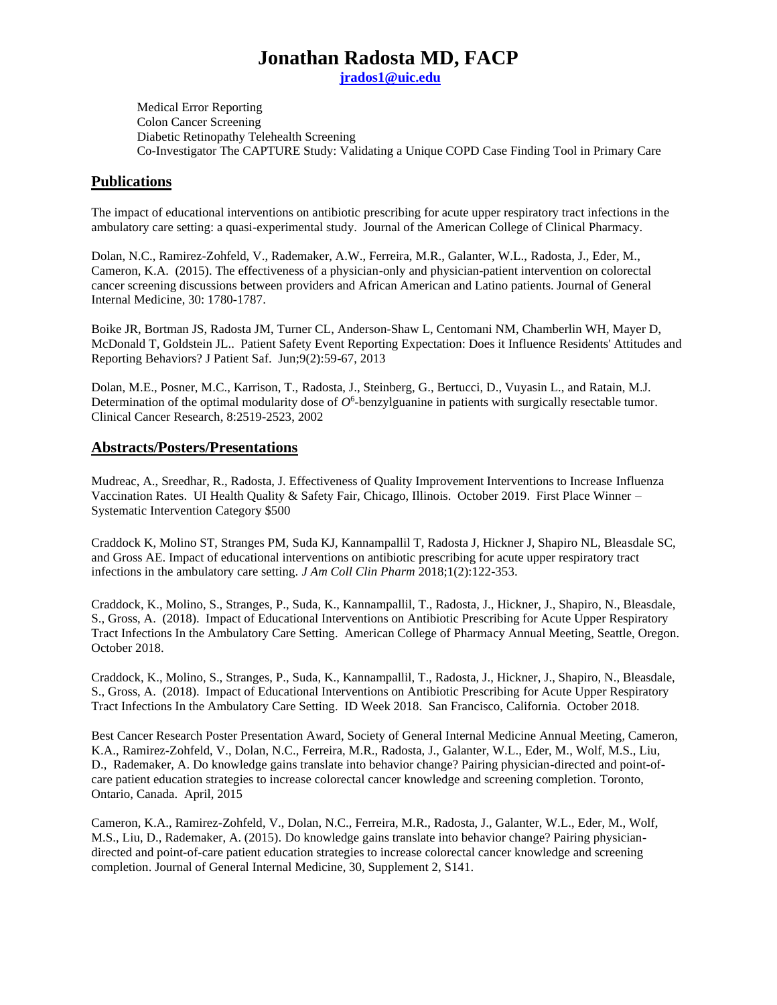**[jrados1@uic.edu](mailto:jrados1@uic.edu)**

Medical Error Reporting Colon Cancer Screening Diabetic Retinopathy Telehealth Screening Co-Investigator The CAPTURE Study: Validating a Unique COPD Case Finding Tool in Primary Care

#### **Publications**

The impact of educational interventions on antibiotic prescribing for acute upper respiratory tract infections in the ambulatory care setting: a quasi-experimental study. Journal of the American College of Clinical Pharmacy.

Dolan, N.C., Ramirez-Zohfeld, V., Rademaker, A.W., Ferreira, M.R., Galanter, W.L., Radosta, J., Eder, M., Cameron, K.A. (2015). The effectiveness of a physician-only and physician-patient intervention on colorectal cancer screening discussions between providers and African American and Latino patients. Journal of General Internal Medicine, 30: 1780-1787.

[Boike JR, Bortman JS, Radosta JM, Turner CL, Anderson-Shaw L, Centomani NM, Chamberlin WH, Mayer D,](about:blank) [McDonald T, Goldstein JL.](about:blank). Patient Safety Event Reporting Expectation: Does it Influence Residents' Attitudes and Reporting Behaviors? J Patient Saf. Jun;9(2):59-67, 2013

Dolan, M.E., Posner, M.C., Karrison, T., Radosta, J., Steinberg, G., Bertucci, D., Vuyasin L., and Ratain, M.J. Determination of the optimal modularity dose of  $O^6$ -benzylguanine in patients with surgically resectable tumor. Clinical Cancer Research, 8:2519-2523, 2002

#### **Abstracts/Posters/Presentations**

Mudreac, A., Sreedhar, R., Radosta, J. Effectiveness of Quality Improvement Interventions to Increase Influenza Vaccination Rates. UI Health Quality & Safety Fair, Chicago, Illinois. October 2019. First Place Winner – Systematic Intervention Category \$500

Craddock K, Molino ST, Stranges PM, Suda KJ, Kannampallil T, Radosta J, Hickner J, Shapiro NL, Bleasdale SC, and Gross AE. Impact of educational interventions on antibiotic prescribing for acute upper respiratory tract infections in the ambulatory care setting. *J Am Coll Clin Pharm* 2018;1(2):122-353.

Craddock, K., Molino, S., Stranges, P., Suda, K., Kannampallil, T., Radosta, J., Hickner, J., Shapiro, N., Bleasdale, S., Gross, A. (2018). Impact of Educational Interventions on Antibiotic Prescribing for Acute Upper Respiratory Tract Infections In the Ambulatory Care Setting. American College of Pharmacy Annual Meeting, Seattle, Oregon. October 2018.

Craddock, K., Molino, S., Stranges, P., Suda, K., Kannampallil, T., Radosta, J., Hickner, J., Shapiro, N., Bleasdale, S., Gross, A. (2018). Impact of Educational Interventions on Antibiotic Prescribing for Acute Upper Respiratory Tract Infections In the Ambulatory Care Setting. ID Week 2018. San Francisco, California. October 2018.

Best Cancer Research Poster Presentation Award, Society of General Internal Medicine Annual Meeting, Cameron, K.A., Ramirez-Zohfeld, V., Dolan, N.C., Ferreira, M.R., Radosta, J., Galanter, W.L., Eder, M., Wolf, M.S., Liu, D., Rademaker, A. Do knowledge gains translate into behavior change? Pairing physician-directed and point-ofcare patient education strategies to increase colorectal cancer knowledge and screening completion. Toronto, Ontario, Canada. April, 2015

Cameron, K.A., Ramirez-Zohfeld, V., Dolan, N.C., Ferreira, M.R., Radosta, J., Galanter, W.L., Eder, M., Wolf, M.S., Liu, D., Rademaker, A. (2015). Do knowledge gains translate into behavior change? Pairing physiciandirected and point-of-care patient education strategies to increase colorectal cancer knowledge and screening completion. Journal of General Internal Medicine, 30, Supplement 2, S141.